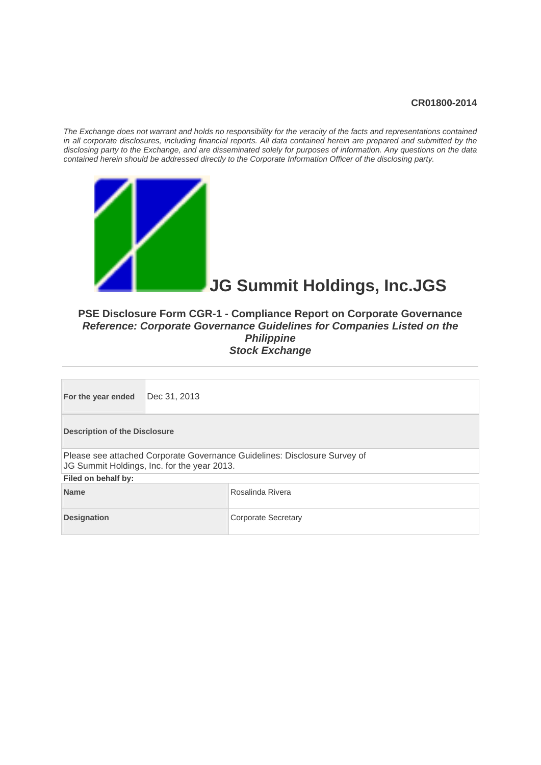#### **CR01800-2014**

*The Exchange does not warrant and holds no responsibility for the veracity of the facts and representations contained in all corporate disclosures, including financial reports. All data contained herein are prepared and submitted by the disclosing party to the Exchange, and are disseminated solely for purposes of information. Any questions on the data contained herein should be addressed directly to the Corporate Information Officer of the disclosing party.* 



# **JG Summit Holdings, Inc.JGS**

#### **PSE Disclosure Form CGR-1 - Compliance Report on Corporate Governance**  *Reference: Corporate Governance Guidelines for Companies Listed on the Philippine*  **Stock Exchange**

| For the year ended                        | Dec 31, 2013                                                                                                             |  |  |  |  |  |
|-------------------------------------------|--------------------------------------------------------------------------------------------------------------------------|--|--|--|--|--|
|                                           | <b>Description of the Disclosure</b>                                                                                     |  |  |  |  |  |
|                                           | Please see attached Corporate Governance Guidelines: Disclosure Survey of<br>JG Summit Holdings, Inc. for the year 2013. |  |  |  |  |  |
| Filed on behalf by:                       |                                                                                                                          |  |  |  |  |  |
| <b>Name</b><br>Rosalinda Rivera           |                                                                                                                          |  |  |  |  |  |
| <b>Designation</b><br>Corporate Secretary |                                                                                                                          |  |  |  |  |  |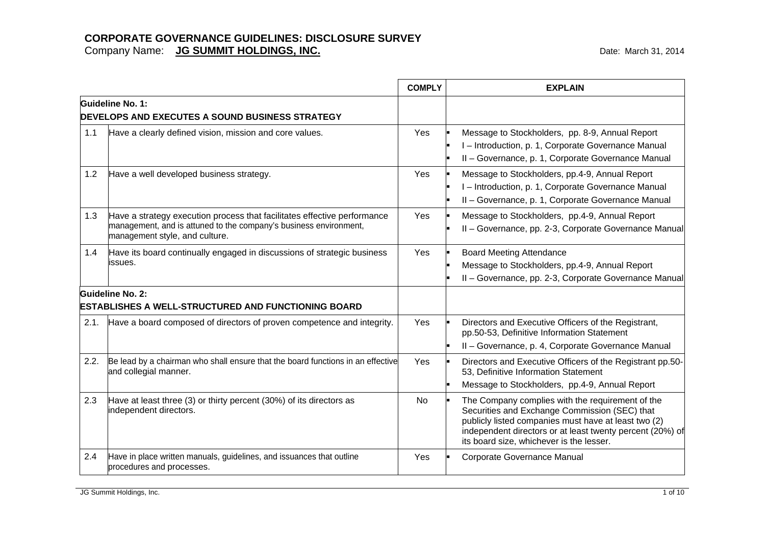|      |                                                                                                                                                                                 | <b>COMPLY</b> | <b>EXPLAIN</b>                                                                                                                                                                                                                                                     |
|------|---------------------------------------------------------------------------------------------------------------------------------------------------------------------------------|---------------|--------------------------------------------------------------------------------------------------------------------------------------------------------------------------------------------------------------------------------------------------------------------|
|      | Guideline No. 1:<br><b>DEVELOPS AND EXECUTES A SOUND BUSINESS STRATEGY</b>                                                                                                      |               |                                                                                                                                                                                                                                                                    |
| 1.1  | Have a clearly defined vision, mission and core values.                                                                                                                         | Yes           | Message to Stockholders, pp. 8-9, Annual Report<br>I - Introduction, p. 1, Corporate Governance Manual<br>II - Governance, p. 1, Corporate Governance Manual                                                                                                       |
| 1.2  | Have a well developed business strategy.                                                                                                                                        | Yes           | Message to Stockholders, pp.4-9, Annual Report<br>I - Introduction, p. 1, Corporate Governance Manual<br>II - Governance, p. 1, Corporate Governance Manual                                                                                                        |
| 1.3  | Have a strategy execution process that facilitates effective performance<br>management, and is attuned to the company's business environment,<br>management style, and culture. | Yes           | Message to Stockholders, pp.4-9, Annual Report<br>II - Governance, pp. 2-3, Corporate Governance Manual                                                                                                                                                            |
| 1.4  | Have its board continually engaged in discussions of strategic business<br>lissues.                                                                                             | Yes           | <b>Board Meeting Attendance</b><br>Message to Stockholders, pp.4-9, Annual Report<br>II - Governance, pp. 2-3, Corporate Governance Manual                                                                                                                         |
|      | Guideline No. 2:<br><b>ESTABLISHES A WELL-STRUCTURED AND FUNCTIONING BOARD</b>                                                                                                  |               |                                                                                                                                                                                                                                                                    |
| 2.1. | Have a board composed of directors of proven competence and integrity.                                                                                                          | Yes           | Directors and Executive Officers of the Registrant,<br>pp.50-53, Definitive Information Statement<br>II - Governance, p. 4, Corporate Governance Manual                                                                                                            |
| 2.2. | Be lead by a chairman who shall ensure that the board functions in an effective<br>and collegial manner.                                                                        | Yes           | Directors and Executive Officers of the Registrant pp.50-<br>53, Definitive Information Statement<br>Message to Stockholders, pp.4-9, Annual Report                                                                                                                |
| 2.3  | Have at least three (3) or thirty percent (30%) of its directors as<br>independent directors.                                                                                   | No            | The Company complies with the requirement of the<br>Securities and Exchange Commission (SEC) that<br>publicly listed companies must have at least two (2)<br>independent directors or at least twenty percent (20%) of<br>its board size, whichever is the lesser. |
| 2.4  | Have in place written manuals, guidelines, and issuances that outline<br>procedures and processes.                                                                              | Yes           | Corporate Governance Manual                                                                                                                                                                                                                                        |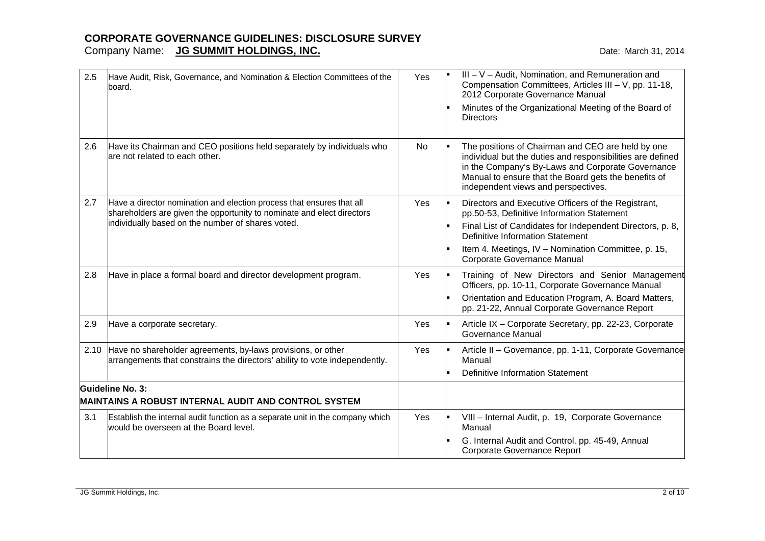| 2.5 | Have Audit, Risk, Governance, and Nomination & Election Committees of the<br>board.                                                                                                                  | Yes | III - V - Audit, Nomination, and Remuneration and<br>Compensation Committees, Articles III - V, pp. 11-18,<br>2012 Corporate Governance Manual<br>Minutes of the Organizational Meeting of the Board of<br><b>Directors</b>                                                                     |
|-----|------------------------------------------------------------------------------------------------------------------------------------------------------------------------------------------------------|-----|-------------------------------------------------------------------------------------------------------------------------------------------------------------------------------------------------------------------------------------------------------------------------------------------------|
| 2.6 | Have its Chairman and CEO positions held separately by individuals who<br>are not related to each other.                                                                                             | No  | The positions of Chairman and CEO are held by one<br>individual but the duties and responsibilities are defined<br>in the Company's By-Laws and Corporate Governance<br>Manual to ensure that the Board gets the benefits of<br>independent views and perspectives.                             |
| 2.7 | Have a director nomination and election process that ensures that all<br>shareholders are given the opportunity to nominate and elect directors<br>individually based on the number of shares voted. | Yes | Directors and Executive Officers of the Registrant,<br>pp.50-53, Definitive Information Statement<br>Final List of Candidates for Independent Directors, p. 8,<br><b>Definitive Information Statement</b><br>Item 4. Meetings, IV - Nomination Committee, p. 15,<br>Corporate Governance Manual |
| 2.8 | Have in place a formal board and director development program.                                                                                                                                       | Yes | Training of New Directors and Senior Management<br>Officers, pp. 10-11, Corporate Governance Manual<br>Orientation and Education Program, A. Board Matters,<br>pp. 21-22, Annual Corporate Governance Report                                                                                    |
| 2.9 | Have a corporate secretary.                                                                                                                                                                          | Yes | Article IX - Corporate Secretary, pp. 22-23, Corporate<br>Governance Manual                                                                                                                                                                                                                     |
|     | 2.10 Have no shareholder agreements, by-laws provisions, or other<br>arrangements that constrains the directors' ability to vote independently.                                                      | Yes | Article II - Governance, pp. 1-11, Corporate Governance<br>Manual<br><b>Definitive Information Statement</b>                                                                                                                                                                                    |
|     | Guideline No. 3:                                                                                                                                                                                     |     |                                                                                                                                                                                                                                                                                                 |
|     | <b>MAINTAINS A ROBUST INTERNAL AUDIT AND CONTROL SYSTEM</b>                                                                                                                                          |     |                                                                                                                                                                                                                                                                                                 |
| 3.1 | Establish the internal audit function as a separate unit in the company which<br>would be overseen at the Board level.                                                                               | Yes | VIII - Internal Audit, p. 19, Corporate Governance<br>Manual<br>G. Internal Audit and Control. pp. 45-49, Annual<br>Corporate Governance Report                                                                                                                                                 |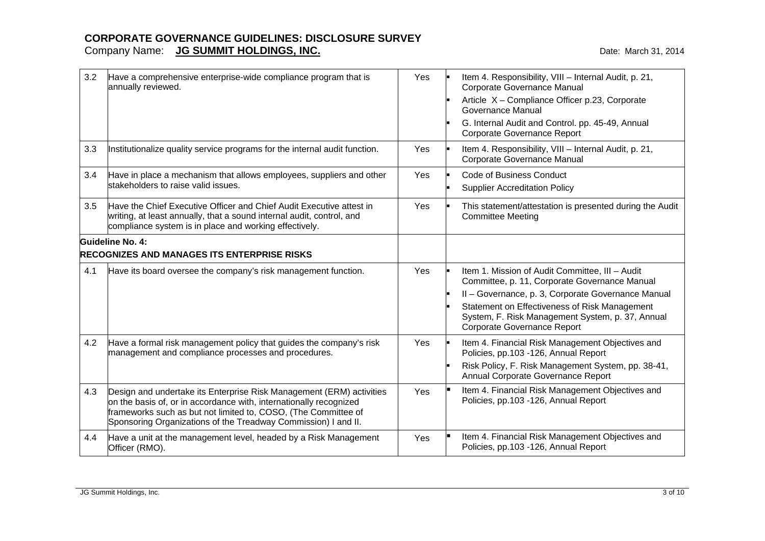| 3.2 | Have a comprehensive enterprise-wide compliance program that is<br>annually reviewed.                                                                                                                                                                                          | Yes | Item 4. Responsibility, VIII - Internal Audit, p. 21,<br>Corporate Governance Manual<br>Article X - Compliance Officer p.23, Corporate<br>Governance Manual<br>G. Internal Audit and Control. pp. 45-49, Annual<br>Corporate Governance Report |
|-----|--------------------------------------------------------------------------------------------------------------------------------------------------------------------------------------------------------------------------------------------------------------------------------|-----|------------------------------------------------------------------------------------------------------------------------------------------------------------------------------------------------------------------------------------------------|
| 3.3 | Institutionalize quality service programs for the internal audit function.                                                                                                                                                                                                     | Yes | Item 4. Responsibility, VIII - Internal Audit, p. 21,<br>Corporate Governance Manual                                                                                                                                                           |
| 3.4 | Have in place a mechanism that allows employees, suppliers and other<br>stakeholders to raise valid issues.                                                                                                                                                                    | Yes | <b>Code of Business Conduct</b><br><b>Supplier Accreditation Policy</b>                                                                                                                                                                        |
| 3.5 | Have the Chief Executive Officer and Chief Audit Executive attest in<br>writing, at least annually, that a sound internal audit, control, and<br>compliance system is in place and working effectively.                                                                        | Yes | This statement/attestation is presented during the Audit<br><b>Committee Meeting</b>                                                                                                                                                           |
|     | Guideline No. 4:<br><b>RECOGNIZES AND MANAGES ITS ENTERPRISE RISKS</b>                                                                                                                                                                                                         |     |                                                                                                                                                                                                                                                |
|     |                                                                                                                                                                                                                                                                                |     |                                                                                                                                                                                                                                                |
| 4.1 | Have its board oversee the company's risk management function.                                                                                                                                                                                                                 | Yes | Item 1. Mission of Audit Committee, III - Audit<br>Committee, p. 11, Corporate Governance Manual                                                                                                                                               |
|     |                                                                                                                                                                                                                                                                                |     | II - Governance, p. 3, Corporate Governance Manual                                                                                                                                                                                             |
|     |                                                                                                                                                                                                                                                                                |     | Statement on Effectiveness of Risk Management<br>System, F. Risk Management System, p. 37, Annual<br>Corporate Governance Report                                                                                                               |
| 4.2 | Have a formal risk management policy that guides the company's risk<br>management and compliance processes and procedures.                                                                                                                                                     | Yes | Item 4. Financial Risk Management Objectives and<br>Policies, pp.103 -126, Annual Report                                                                                                                                                       |
|     |                                                                                                                                                                                                                                                                                |     | Risk Policy, F. Risk Management System, pp. 38-41,<br>Annual Corporate Governance Report                                                                                                                                                       |
| 4.3 | Design and undertake its Enterprise Risk Management (ERM) activities<br>on the basis of, or in accordance with, internationally recognized<br>frameworks such as but not limited to, COSO, (The Committee of<br>Sponsoring Organizations of the Treadway Commission) I and II. | Yes | Item 4. Financial Risk Management Objectives and<br>Policies, pp.103 -126, Annual Report                                                                                                                                                       |
| 4.4 | Have a unit at the management level, headed by a Risk Management<br>Officer (RMO).                                                                                                                                                                                             | Yes | Item 4. Financial Risk Management Objectives and<br>Policies, pp.103 -126, Annual Report                                                                                                                                                       |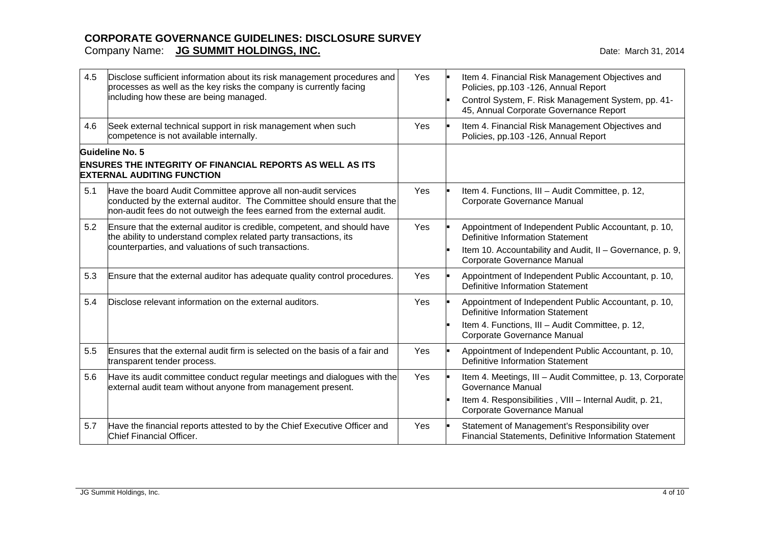| 4.5 | Disclose sufficient information about its risk management procedures and<br>processes as well as the key risks the company is currently facing<br>including how these are being managed.                            | Yes | Item 4. Financial Risk Management Objectives and<br>Policies, pp.103 -126, Annual Report<br>Control System, F. Risk Management System, pp. 41-<br>45, Annual Corporate Governance Report |
|-----|---------------------------------------------------------------------------------------------------------------------------------------------------------------------------------------------------------------------|-----|------------------------------------------------------------------------------------------------------------------------------------------------------------------------------------------|
| 4.6 | Seek external technical support in risk management when such<br>competence is not available internally.                                                                                                             | Yes | Item 4. Financial Risk Management Objectives and<br>Policies, pp.103 -126, Annual Report                                                                                                 |
|     | Guideline No. 5<br><b>ENSURES THE INTEGRITY OF FINANCIAL REPORTS AS WELL AS ITS</b><br><b>EXTERNAL AUDITING FUNCTION</b>                                                                                            |     |                                                                                                                                                                                          |
| 5.1 | Have the board Audit Committee approve all non-audit services<br>conducted by the external auditor. The Committee should ensure that the<br>non-audit fees do not outweigh the fees earned from the external audit. | Yes | Item 4. Functions, III - Audit Committee, p. 12,<br>Corporate Governance Manual                                                                                                          |
| 5.2 | Ensure that the external auditor is credible, competent, and should have<br>the ability to understand complex related party transactions, its<br>counterparties, and valuations of such transactions.               | Yes | Appointment of Independent Public Accountant, p. 10,<br>Definitive Information Statement<br>Item 10. Accountability and Audit, II - Governance, p. 9,<br>Corporate Governance Manual     |
| 5.3 | Ensure that the external auditor has adequate quality control procedures.                                                                                                                                           | Yes | Appointment of Independent Public Accountant, p. 10,<br><b>Definitive Information Statement</b>                                                                                          |
| 5.4 | Disclose relevant information on the external auditors.                                                                                                                                                             | Yes | Appointment of Independent Public Accountant, p. 10,<br><b>Definitive Information Statement</b><br>Item 4. Functions, III - Audit Committee, p. 12,<br>Corporate Governance Manual       |
| 5.5 | Ensures that the external audit firm is selected on the basis of a fair and<br>transparent tender process.                                                                                                          | Yes | Appointment of Independent Public Accountant, p. 10,<br><b>Definitive Information Statement</b>                                                                                          |
| 5.6 | Have its audit committee conduct regular meetings and dialogues with the<br>external audit team without anyone from management present.                                                                             | Yes | Item 4. Meetings, III - Audit Committee, p. 13, Corporate<br>Governance Manual<br>Item 4. Responsibilities, VIII - Internal Audit, p. 21,<br>Corporate Governance Manual                 |
| 5.7 | Have the financial reports attested to by the Chief Executive Officer and<br>Chief Financial Officer.                                                                                                               | Yes | Statement of Management's Responsibility over<br>Financial Statements, Definitive Information Statement                                                                                  |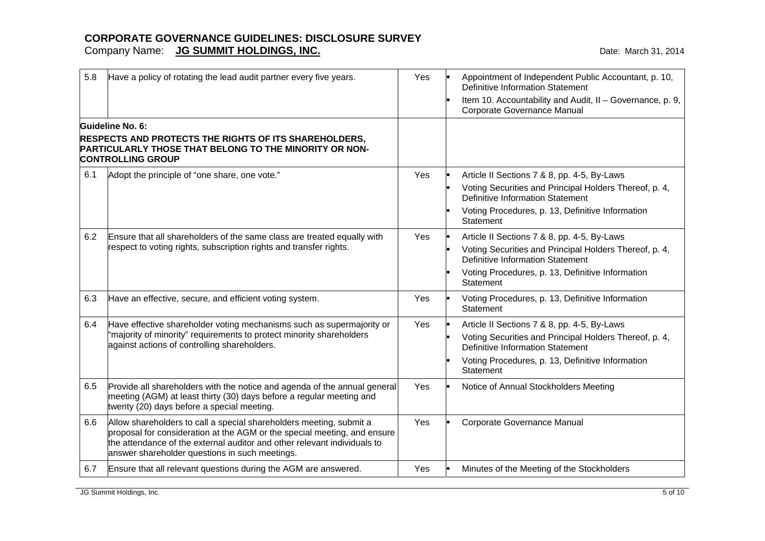| 5.8 | Have a policy of rotating the lead audit partner every five years.                                                                                                                                                                                                            | Yes | Appointment of Independent Public Accountant, p. 10,<br>Definitive Information Statement<br>Item 10. Accountability and Audit, II - Governance, p. 9,<br>Corporate Governance Manual                                     |
|-----|-------------------------------------------------------------------------------------------------------------------------------------------------------------------------------------------------------------------------------------------------------------------------------|-----|--------------------------------------------------------------------------------------------------------------------------------------------------------------------------------------------------------------------------|
|     | Guideline No. 6:<br><b>RESPECTS AND PROTECTS THE RIGHTS OF ITS SHAREHOLDERS,</b><br>PARTICULARLY THOSE THAT BELONG TO THE MINORITY OR NON-<br><b>CONTROLLING GROUP</b>                                                                                                        |     |                                                                                                                                                                                                                          |
| 6.1 | Adopt the principle of "one share, one vote."                                                                                                                                                                                                                                 | Yes | Article II Sections 7 & 8, pp. 4-5, By-Laws<br>Voting Securities and Principal Holders Thereof, p. 4,<br><b>Definitive Information Statement</b><br>Voting Procedures, p. 13, Definitive Information<br>Statement        |
| 6.2 | Ensure that all shareholders of the same class are treated equally with<br>respect to voting rights, subscription rights and transfer rights.                                                                                                                                 | Yes | Article II Sections 7 & 8, pp. 4-5, By-Laws<br>Voting Securities and Principal Holders Thereof, p. 4,<br><b>Definitive Information Statement</b><br>Voting Procedures, p. 13, Definitive Information<br><b>Statement</b> |
| 6.3 | Have an effective, secure, and efficient voting system.                                                                                                                                                                                                                       | Yes | Voting Procedures, p. 13, Definitive Information<br>Statement                                                                                                                                                            |
| 6.4 | Have effective shareholder voting mechanisms such as supermajority or<br>"majority of minority" requirements to protect minority shareholders<br>against actions of controlling shareholders.                                                                                 | Yes | Article II Sections 7 & 8, pp. 4-5, By-Laws<br>Voting Securities and Principal Holders Thereof, p. 4,<br>Definitive Information Statement<br>Voting Procedures, p. 13, Definitive Information<br>Statement               |
| 6.5 | Provide all shareholders with the notice and agenda of the annual general<br>meeting (AGM) at least thirty (30) days before a regular meeting and<br>twenty (20) days before a special meeting.                                                                               | Yes | Notice of Annual Stockholders Meeting                                                                                                                                                                                    |
| 6.6 | Allow shareholders to call a special shareholders meeting, submit a<br>proposal for consideration at the AGM or the special meeting, and ensure<br>the attendance of the external auditor and other relevant individuals to<br>answer shareholder questions in such meetings. | Yes | Corporate Governance Manual                                                                                                                                                                                              |
| 6.7 | Ensure that all relevant questions during the AGM are answered.                                                                                                                                                                                                               | Yes | Minutes of the Meeting of the Stockholders                                                                                                                                                                               |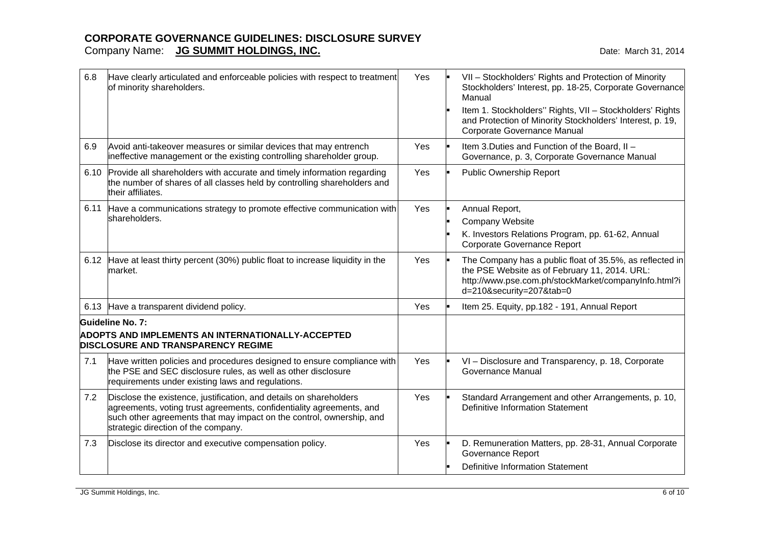| 6.8  | Have clearly articulated and enforceable policies with respect to treatment<br>of minority shareholders.                                                                                                                                                  | Yes | VII - Stockholders' Rights and Protection of Minority<br>Stockholders' Interest, pp. 18-25, Corporate Governance<br>Manual<br>Item 1. Stockholders" Rights, VII - Stockholders' Rights<br>and Protection of Minority Stockholders' Interest, p. 19,<br>Corporate Governance Manual |
|------|-----------------------------------------------------------------------------------------------------------------------------------------------------------------------------------------------------------------------------------------------------------|-----|------------------------------------------------------------------------------------------------------------------------------------------------------------------------------------------------------------------------------------------------------------------------------------|
| 6.9  | Avoid anti-takeover measures or similar devices that may entrench<br>ineffective management or the existing controlling shareholder group.                                                                                                                | Yes | Item 3. Duties and Function of the Board, II -<br>Governance, p. 3, Corporate Governance Manual                                                                                                                                                                                    |
| 6.10 | Provide all shareholders with accurate and timely information regarding<br>the number of shares of all classes held by controlling shareholders and<br>their affiliates.                                                                                  | Yes | Public Ownership Report                                                                                                                                                                                                                                                            |
|      | 6.11 Have a communications strategy to promote effective communication with<br>shareholders.                                                                                                                                                              | Yes | Annual Report,<br>Company Website<br>K. Investors Relations Program, pp. 61-62, Annual<br>Corporate Governance Report                                                                                                                                                              |
|      | 6.12 Have at least thirty percent (30%) public float to increase liquidity in the<br>market.                                                                                                                                                              | Yes | The Company has a public float of 35.5%, as reflected in<br>the PSE Website as of February 11, 2014. URL:<br>http://www.pse.com.ph/stockMarket/companyInfo.html?i<br>d=210&security=207&tab=0                                                                                      |
|      | 6.13 Have a transparent dividend policy.                                                                                                                                                                                                                  | Yes | Item 25. Equity, pp.182 - 191, Annual Report                                                                                                                                                                                                                                       |
|      | Guideline No. 7:<br><b>ADOPTS AND IMPLEMENTS AN INTERNATIONALLY-ACCEPTED</b><br><b>DISCLOSURE AND TRANSPARENCY REGIME</b>                                                                                                                                 |     |                                                                                                                                                                                                                                                                                    |
| 7.1  | Have written policies and procedures designed to ensure compliance with<br>the PSE and SEC disclosure rules, as well as other disclosure<br>requirements under existing laws and regulations.                                                             | Yes | VI - Disclosure and Transparency, p. 18, Corporate<br>Governance Manual                                                                                                                                                                                                            |
| 7.2  | Disclose the existence, justification, and details on shareholders<br>agreements, voting trust agreements, confidentiality agreements, and<br>such other agreements that may impact on the control, ownership, and<br>strategic direction of the company. | Yes | Standard Arrangement and other Arrangements, p. 10,<br><b>Definitive Information Statement</b>                                                                                                                                                                                     |
| 7.3  | Disclose its director and executive compensation policy.                                                                                                                                                                                                  | Yes | D. Remuneration Matters, pp. 28-31, Annual Corporate<br>Governance Report<br><b>Definitive Information Statement</b>                                                                                                                                                               |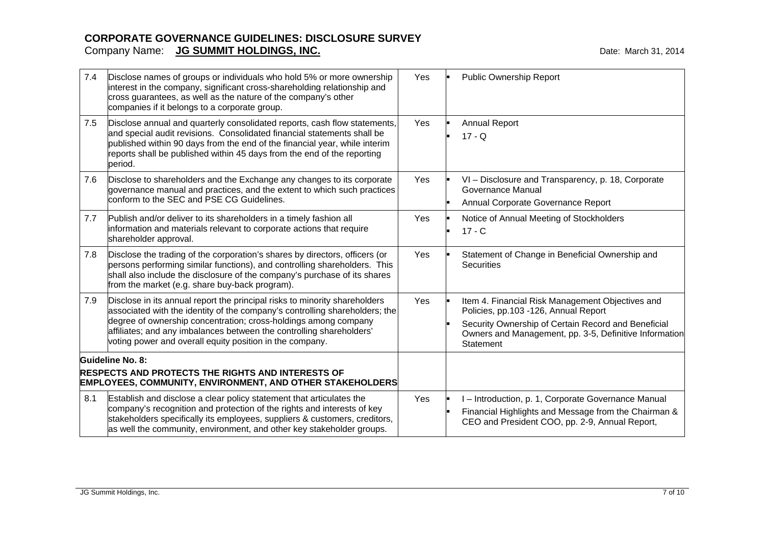| 7.4 | Disclose names of groups or individuals who hold 5% or more ownership<br>interest in the company, significant cross-shareholding relationship and<br>cross guarantees, as well as the nature of the company's other<br>companies if it belongs to a corporate group.                                                                                             | Yes | <b>Public Ownership Report</b>                                                                                                                                                                                         |
|-----|------------------------------------------------------------------------------------------------------------------------------------------------------------------------------------------------------------------------------------------------------------------------------------------------------------------------------------------------------------------|-----|------------------------------------------------------------------------------------------------------------------------------------------------------------------------------------------------------------------------|
| 7.5 | Disclose annual and quarterly consolidated reports, cash flow statements,<br>and special audit revisions. Consolidated financial statements shall be<br>published within 90 days from the end of the financial year, while interim<br>reports shall be published within 45 days from the end of the reporting<br>period.                                         | Yes | <b>Annual Report</b><br>$17 - Q$                                                                                                                                                                                       |
| 7.6 | Disclose to shareholders and the Exchange any changes to its corporate<br>governance manual and practices, and the extent to which such practices<br>conform to the SEC and PSE CG Guidelines.                                                                                                                                                                   | Yes | VI - Disclosure and Transparency, p. 18, Corporate<br>Governance Manual<br>Annual Corporate Governance Report                                                                                                          |
| 7.7 | Publish and/or deliver to its shareholders in a timely fashion all<br>information and materials relevant to corporate actions that require<br>shareholder approval.                                                                                                                                                                                              | Yes | Notice of Annual Meeting of Stockholders<br>$17 - C$                                                                                                                                                                   |
| 7.8 | Disclose the trading of the corporation's shares by directors, officers (or<br>persons performing similar functions), and controlling shareholders. This<br>shall also include the disclosure of the company's purchase of its shares<br>from the market (e.g. share buy-back program).                                                                          | Yes | Statement of Change in Beneficial Ownership and<br><b>Securities</b>                                                                                                                                                   |
| 7.9 | Disclose in its annual report the principal risks to minority shareholders<br>associated with the identity of the company's controlling shareholders; the<br>degree of ownership concentration; cross-holdings among company<br>affiliates; and any imbalances between the controlling shareholders'<br>voting power and overall equity position in the company. | Yes | Item 4. Financial Risk Management Objectives and<br>Policies, pp.103 -126, Annual Report<br>Security Ownership of Certain Record and Beneficial<br>Owners and Management, pp. 3-5, Definitive Information<br>Statement |
|     | Guideline No. 8:<br><b>RESPECTS AND PROTECTS THE RIGHTS AND INTERESTS OF</b><br><b>EMPLOYEES, COMMUNITY, ENVIRONMENT, AND OTHER STAKEHOLDERS</b>                                                                                                                                                                                                                 |     |                                                                                                                                                                                                                        |
| 8.1 | Establish and disclose a clear policy statement that articulates the<br>company's recognition and protection of the rights and interests of key<br>stakeholders specifically its employees, suppliers & customers, creditors,<br>as well the community, environment, and other key stakeholder groups.                                                           | Yes | I-Introduction, p. 1, Corporate Governance Manual<br>Financial Highlights and Message from the Chairman &<br>CEO and President COO, pp. 2-9, Annual Report,                                                            |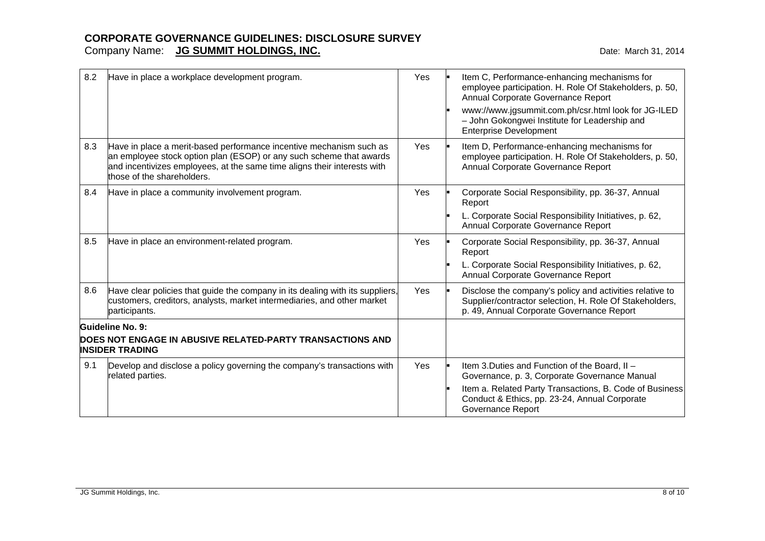| 8.2 | Have in place a workplace development program.                                                                                                                                                                                                       | Yes | Item C, Performance-enhancing mechanisms for<br>employee participation. H. Role Of Stakeholders, p. 50,<br>Annual Corporate Governance Report<br>www://www.jgsummit.com.ph/csr.html look for JG-ILED<br>- John Gokongwei Institute for Leadership and<br><b>Enterprise Development</b> |
|-----|------------------------------------------------------------------------------------------------------------------------------------------------------------------------------------------------------------------------------------------------------|-----|----------------------------------------------------------------------------------------------------------------------------------------------------------------------------------------------------------------------------------------------------------------------------------------|
| 8.3 | Have in place a merit-based performance incentive mechanism such as<br>an employee stock option plan (ESOP) or any such scheme that awards<br>and incentivizes employees, at the same time aligns their interests with<br>those of the shareholders. | Yes | Item D, Performance-enhancing mechanisms for<br>employee participation. H. Role Of Stakeholders, p. 50,<br>Annual Corporate Governance Report                                                                                                                                          |
| 8.4 | Have in place a community involvement program.                                                                                                                                                                                                       | Yes | Corporate Social Responsibility, pp. 36-37, Annual<br>Report<br>L. Corporate Social Responsibility Initiatives, p. 62,                                                                                                                                                                 |
|     |                                                                                                                                                                                                                                                      |     | Annual Corporate Governance Report                                                                                                                                                                                                                                                     |
| 8.5 | Have in place an environment-related program.                                                                                                                                                                                                        | Yes | Corporate Social Responsibility, pp. 36-37, Annual<br>Report                                                                                                                                                                                                                           |
|     |                                                                                                                                                                                                                                                      |     | L. Corporate Social Responsibility Initiatives, p. 62,<br>Annual Corporate Governance Report                                                                                                                                                                                           |
| 8.6 | Have clear policies that guide the company in its dealing with its suppliers,<br>customers, creditors, analysts, market intermediaries, and other market<br>participants.                                                                            | Yes | Disclose the company's policy and activities relative to<br>Supplier/contractor selection, H. Role Of Stakeholders,<br>p. 49, Annual Corporate Governance Report                                                                                                                       |
|     | <b>Guideline No. 9:</b>                                                                                                                                                                                                                              |     |                                                                                                                                                                                                                                                                                        |
|     | DOES NOT ENGAGE IN ABUSIVE RELATED-PARTY TRANSACTIONS AND<br><b>INSIDER TRADING</b>                                                                                                                                                                  |     |                                                                                                                                                                                                                                                                                        |
| 9.1 | Develop and disclose a policy governing the company's transactions with<br>related parties.                                                                                                                                                          | Yes | Item 3. Duties and Function of the Board, II -<br>Governance, p. 3, Corporate Governance Manual<br>Item a. Related Party Transactions, B. Code of Business<br>Conduct & Ethics, pp. 23-24, Annual Corporate<br>Governance Report                                                       |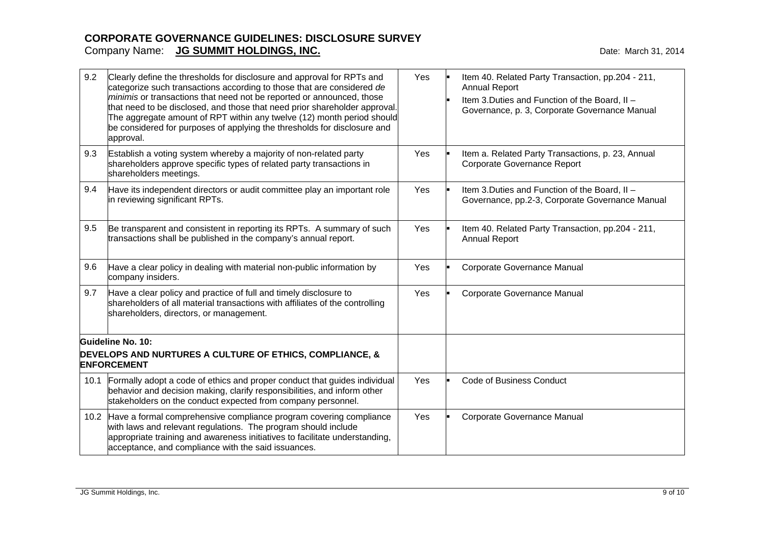| 9.2  | Clearly define the thresholds for disclosure and approval for RPTs and<br>categorize such transactions according to those that are considered de<br>minimis or transactions that need not be reported or announced, those<br>that need to be disclosed, and those that need prior shareholder approval.<br>The aggregate amount of RPT within any twelve (12) month period should<br>be considered for purposes of applying the thresholds for disclosure and<br>approval. | Yes | Item 40. Related Party Transaction, pp.204 - 211,<br><b>Annual Report</b><br>Item 3. Duties and Function of the Board, II -<br>Governance, p. 3, Corporate Governance Manual |
|------|----------------------------------------------------------------------------------------------------------------------------------------------------------------------------------------------------------------------------------------------------------------------------------------------------------------------------------------------------------------------------------------------------------------------------------------------------------------------------|-----|------------------------------------------------------------------------------------------------------------------------------------------------------------------------------|
| 9.3  | Establish a voting system whereby a majority of non-related party<br>shareholders approve specific types of related party transactions in<br>shareholders meetings.                                                                                                                                                                                                                                                                                                        | Yes | Item a. Related Party Transactions, p. 23, Annual<br>Corporate Governance Report                                                                                             |
| 9.4  | Have its independent directors or audit committee play an important role<br>in reviewing significant RPTs.                                                                                                                                                                                                                                                                                                                                                                 | Yes | Item 3. Duties and Function of the Board, II -<br>Governance, pp.2-3, Corporate Governance Manual                                                                            |
| 9.5  | Be transparent and consistent in reporting its RPTs. A summary of such<br>transactions shall be published in the company's annual report.                                                                                                                                                                                                                                                                                                                                  | Yes | Item 40. Related Party Transaction, pp.204 - 211,<br><b>Annual Report</b>                                                                                                    |
| 9.6  | Have a clear policy in dealing with material non-public information by<br>company insiders.                                                                                                                                                                                                                                                                                                                                                                                | Yes | Corporate Governance Manual                                                                                                                                                  |
| 9.7  | Have a clear policy and practice of full and timely disclosure to<br>shareholders of all material transactions with affiliates of the controlling<br>shareholders, directors, or management.                                                                                                                                                                                                                                                                               | Yes | Corporate Governance Manual                                                                                                                                                  |
|      | Guideline No. 10:                                                                                                                                                                                                                                                                                                                                                                                                                                                          |     |                                                                                                                                                                              |
|      | DEVELOPS AND NURTURES A CULTURE OF ETHICS, COMPLIANCE, &<br><b>ENFORCEMENT</b>                                                                                                                                                                                                                                                                                                                                                                                             |     |                                                                                                                                                                              |
| 10.1 | Formally adopt a code of ethics and proper conduct that guides individual<br>behavior and decision making, clarify responsibilities, and inform other<br>stakeholders on the conduct expected from company personnel.                                                                                                                                                                                                                                                      | Yes | <b>Code of Business Conduct</b>                                                                                                                                              |
| 10.2 | Have a formal comprehensive compliance program covering compliance<br>with laws and relevant regulations. The program should include<br>appropriate training and awareness initiatives to facilitate understanding,<br>acceptance, and compliance with the said issuances.                                                                                                                                                                                                 | Yes | Corporate Governance Manual                                                                                                                                                  |